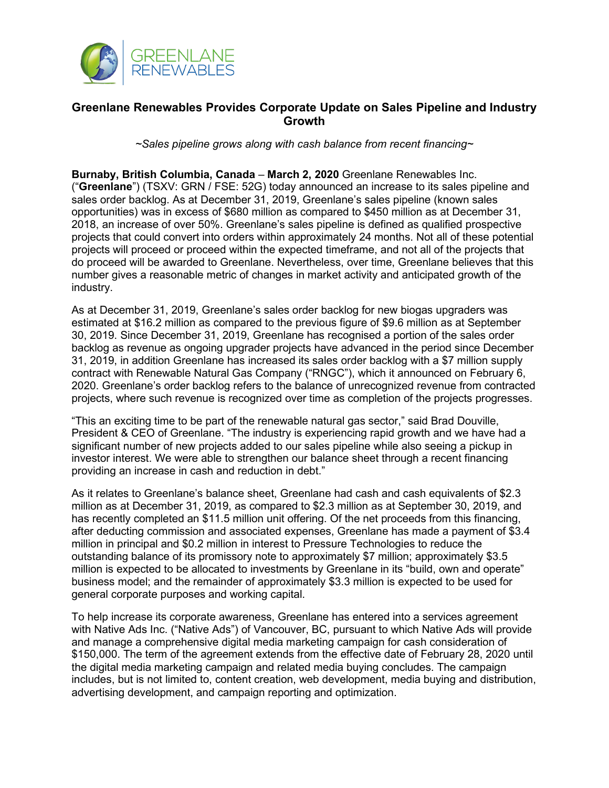

## **Greenlane Renewables Provides Corporate Update on Sales Pipeline and Industry Growth**

*~Sales pipeline grows along with cash balance from recent financing~*

**Burnaby, British Columbia, Canada** – **March 2, 2020** Greenlane Renewables Inc. ("**Greenlane**") (TSXV: GRN / FSE: 52G) today announced an increase to its sales pipeline and sales order backlog. As at December 31, 2019, Greenlane's sales pipeline (known sales opportunities) was in excess of \$680 million as compared to \$450 million as at December 31, 2018, an increase of over 50%. Greenlane's sales pipeline is defined as qualified prospective projects that could convert into orders within approximately 24 months. Not all of these potential projects will proceed or proceed within the expected timeframe, and not all of the projects that do proceed will be awarded to Greenlane. Nevertheless, over time, Greenlane believes that this number gives a reasonable metric of changes in market activity and anticipated growth of the industry.

As at December 31, 2019, Greenlane's sales order backlog for new biogas upgraders was estimated at \$16.2 million as compared to the previous figure of \$9.6 million as at September 30, 2019. Since December 31, 2019, Greenlane has recognised a portion of the sales order backlog as revenue as ongoing upgrader projects have advanced in the period since December 31, 2019, in addition Greenlane has increased its sales order backlog with a \$7 million supply contract with Renewable Natural Gas Company ("RNGC"), which it announced on February 6, 2020. Greenlane's order backlog refers to the balance of unrecognized revenue from contracted projects, where such revenue is recognized over time as completion of the projects progresses.

"This an exciting time to be part of the renewable natural gas sector," said Brad Douville, President & CEO of Greenlane. "The industry is experiencing rapid growth and we have had a significant number of new projects added to our sales pipeline while also seeing a pickup in investor interest. We were able to strengthen our balance sheet through a recent financing providing an increase in cash and reduction in debt."

As it relates to Greenlane's balance sheet, Greenlane had cash and cash equivalents of \$2.3 million as at December 31, 2019, as compared to \$2.3 million as at September 30, 2019, and has recently completed an \$11.5 million unit offering. Of the net proceeds from this financing, after deducting commission and associated expenses, Greenlane has made a payment of \$3.4 million in principal and \$0.2 million in interest to Pressure Technologies to reduce the outstanding balance of its promissory note to approximately \$7 million; approximately \$3.5 million is expected to be allocated to investments by Greenlane in its "build, own and operate" business model; and the remainder of approximately \$3.3 million is expected to be used for general corporate purposes and working capital.

To help increase its corporate awareness, Greenlane has entered into a services agreement with Native Ads Inc. ("Native Ads") of Vancouver, BC, pursuant to which Native Ads will provide and manage a comprehensive digital media marketing campaign for cash consideration of \$150,000. The term of the agreement extends from the effective date of February 28, 2020 until the digital media marketing campaign and related media buying concludes. The campaign includes, but is not limited to, content creation, web development, media buying and distribution, advertising development, and campaign reporting and optimization.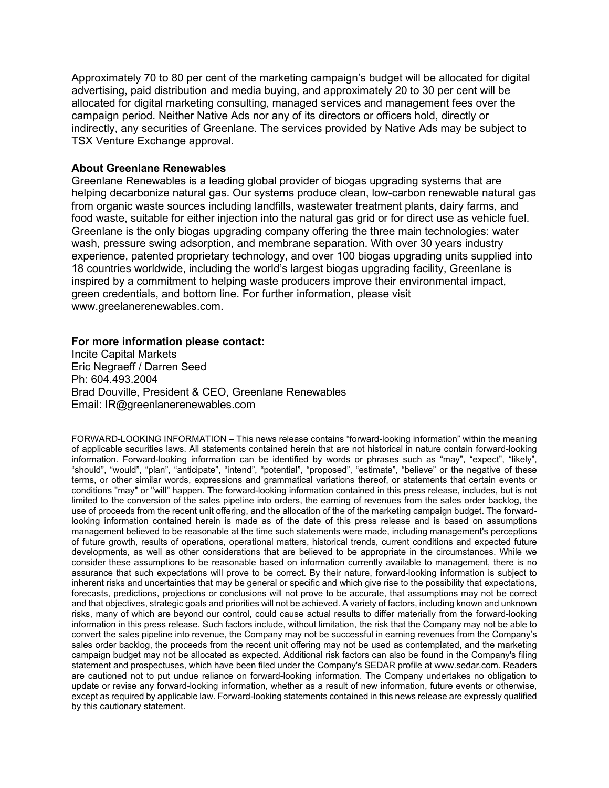Approximately 70 to 80 per cent of the marketing campaign's budget will be allocated for digital advertising, paid distribution and media buying, and approximately 20 to 30 per cent will be allocated for digital marketing consulting, managed services and management fees over the campaign period. Neither Native Ads nor any of its directors or officers hold, directly or indirectly, any securities of Greenlane. The services provided by Native Ads may be subject to TSX Venture Exchange approval.

## **About Greenlane Renewables**

Greenlane Renewables is a leading global provider of biogas upgrading systems that are helping decarbonize natural gas. Our systems produce clean, low-carbon renewable natural gas from organic waste sources including landfills, wastewater treatment plants, dairy farms, and food waste, suitable for either injection into the natural gas grid or for direct use as vehicle fuel. Greenlane is the only biogas upgrading company offering the three main technologies: water wash, pressure swing adsorption, and membrane separation. With over 30 years industry experience, patented proprietary technology, and over 100 biogas upgrading units supplied into 18 countries worldwide, including the world's largest biogas upgrading facility, Greenlane is inspired by a commitment to helping waste producers improve their environmental impact, green credentials, and bottom line. For further information, please visit www.greelanerenewables.com.

## **For more information please contact:**

Incite Capital Markets Eric Negraeff / Darren Seed Ph: 604.493.2004 Brad Douville, President & CEO, Greenlane Renewables Email: IR@greenlanerenewables.com

FORWARD-LOOKING INFORMATION – This news release contains "forward-looking information" within the meaning of applicable securities laws. All statements contained herein that are not historical in nature contain forward-looking information. Forward-looking information can be identified by words or phrases such as "may", "expect", "likely", "should", "would", "plan", "anticipate", "intend", "potential", "proposed", "estimate", "believe" or the negative of these terms, or other similar words, expressions and grammatical variations thereof, or statements that certain events or conditions "may" or "will" happen. The forward-looking information contained in this press release, includes, but is not limited to the conversion of the sales pipeline into orders, the earning of revenues from the sales order backlog, the use of proceeds from the recent unit offering, and the allocation of the of the marketing campaign budget. The forwardlooking information contained herein is made as of the date of this press release and is based on assumptions management believed to be reasonable at the time such statements were made, including management's perceptions of future growth, results of operations, operational matters, historical trends, current conditions and expected future developments, as well as other considerations that are believed to be appropriate in the circumstances. While we consider these assumptions to be reasonable based on information currently available to management, there is no assurance that such expectations will prove to be correct. By their nature, forward-looking information is subject to inherent risks and uncertainties that may be general or specific and which give rise to the possibility that expectations, forecasts, predictions, projections or conclusions will not prove to be accurate, that assumptions may not be correct and that objectives, strategic goals and priorities will not be achieved. A variety of factors, including known and unknown risks, many of which are beyond our control, could cause actual results to differ materially from the forward-looking information in this press release. Such factors include, without limitation, the risk that the Company may not be able to convert the sales pipeline into revenue, the Company may not be successful in earning revenues from the Company's sales order backlog, the proceeds from the recent unit offering may not be used as contemplated, and the marketing campaign budget may not be allocated as expected. Additional risk factors can also be found in the Company's filing statement and prospectuses, which have been filed under the Company's SEDAR profile at www.sedar.com. Readers are cautioned not to put undue reliance on forward-looking information. The Company undertakes no obligation to update or revise any forward-looking information, whether as a result of new information, future events or otherwise, except as required by applicable law. Forward-looking statements contained in this news release are expressly qualified by this cautionary statement.